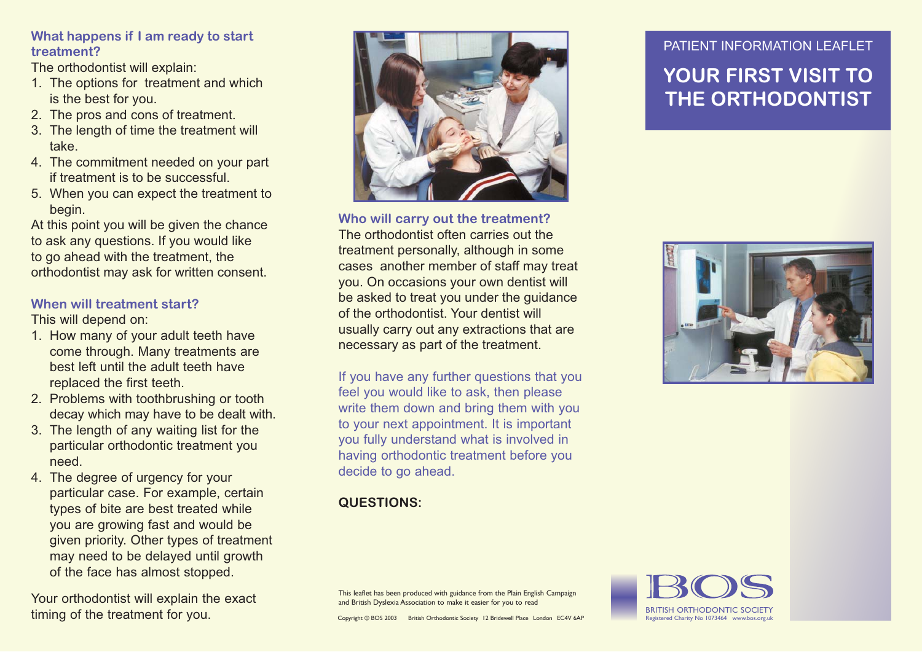The orthodontist will explain:

- 1. The options for treatment and which is the best for you.
- 2. The pros and cons of treatment.
- 3. The length of time the treatment will take.
- 4. The commitment needed on your part if treatment is to be successful.
- 5. When you can expect the treatment to begin.

At this point you will be given the chance to ask any questions. If you would like to go ahead with the treatment, the orthodontist may ask for written consent.

### **When will treatment start?**

This will depend on:

- 1. How many of your adult teeth have come through. Many treatments are best left until the adult teeth have replaced the first teeth.
- 2. Problems with toothbrushing or tooth decay which may have to be dealt with.
- 3. The length of any waiting list for the particular orthodontic treatment you need.
- 4. The degree of urgency for your particular case. For example, certain types of bite are best treated while you are growing fast and would be given priority. Other types of treatment may need to be delayed until growth of the face has almost stopped.

Your orthodontist will explain the exact timing of the treatment for you.



**Who will carry out the treatment?**

The orthodontist often carries out thetreatment personally, although in some cases another member of staff may treat you. On occasions your own dentist will be asked to treat you under the guidance of the orthodontist. Your dentist will usually carry out any extractions that are necessary as part of the treatment.

If you have any further questions that you feel you would like to ask, then please write them down and bring them with you to your next appointment. It is important you fully understand what is involved in having orthodontic treatment before you decide to go ahead.

## **QUESTIONS:**

# **YOUR FIRST VISIT TO THE ORTHODONTIST**





This leaflet has been produced with guidance from the Plain English Campaign and British Dyslexia Association to make it easier for you to read

Copyright © BOS 2003 British Orthodontic Society 12 Bridewell Place London EC4V 6AP Registered Charity No 1073464 www.bos.org.uk